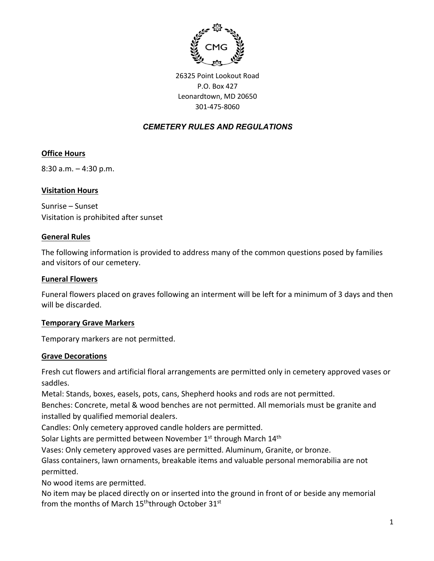

26325 Point Lookout Road P.O. Box 427 Leonardtown, MD 20650 301-475-8060

# *CEMETERY RULES AND REGULATIONS*

# **Office Hours**

8:30 a.m. – 4:30 p.m.

### **Visitation Hours**

Sunrise – Sunset Visitation is prohibited after sunset

#### **General Rules**

The following information is provided to address many of the common questions posed by families and visitors of our cemetery.

#### **Funeral Flowers**

Funeral flowers placed on graves following an interment will be left for a minimum of 3 days and then will be discarded.

### **Temporary Grave Markers**

Temporary markers are not permitted.

#### **Grave Decorations**

Fresh cut flowers and artificial floral arrangements are permitted only in cemetery approved vases or saddles.

Metal: Stands, boxes, easels, pots, cans, Shepherd hooks and rods are not permitted.

Benches: Concrete, metal & wood benches are not permitted. All memorials must be granite and installed by qualified memorial dealers.

Candles: Only cemetery approved candle holders are permitted.

Solar Lights are permitted between November 1<sup>st</sup> through March 14<sup>th</sup>

Vases: Only cemetery approved vases are permitted. Aluminum, Granite, or bronze.

Glass containers, lawn ornaments, breakable items and valuable personal memorabilia are not permitted.

No wood items are permitted.

No item may be placed directly on or inserted into the ground in front of or beside any memorial from the months of March  $15<sup>th</sup>$ through October  $31<sup>st</sup>$